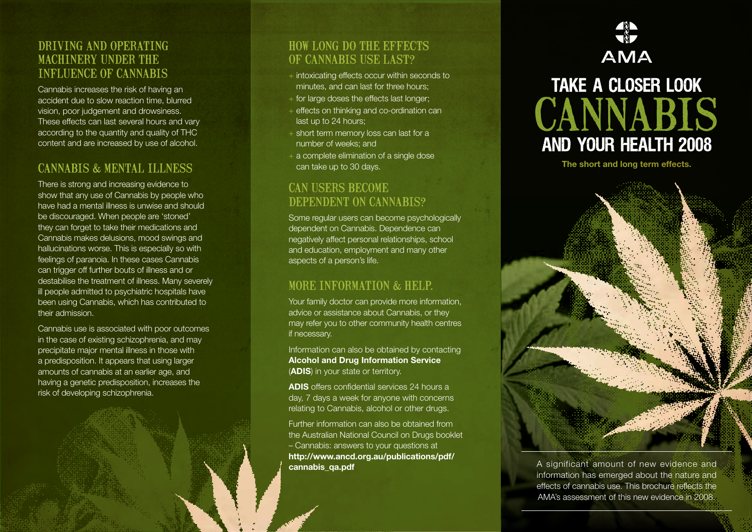#### Driving an d operating machinery un der the influence of cannabis

Cannabis increases the risk of having an accident due to slow reaction time, blurred vision, poor judgement and drowsiness. These effects can last several hours and vary according to the quantity and quality of THC content and are increased by use of alcohol.

#### Cannabis & mental illness

There is strong and increasing evidence to show that any use of Cannabis by people who have had a mental illness is unwise and should be discouraged. When people are 'stoned' they can forget to take their medications and Cannabis makes delusions, mood swings and hallucinations worse. This is especially so with feelings of paranoia. In these cases Cannabis can trigger off further bouts of illness and or destabilise the treatment of illness. Many severely ill people admitted to psychiatric hospitals have been using Cannabis, which has contributed to their admission.

Cannabis use is associated with poor outcomes in the case of existing schizophrenia, and may precipitate major mental illness in those with a predisposition. It appears that using larger amounts of cannabis at an earlier age, and having a genetic predisposition, increases the risk of developing schizophrenia.

#### How long do the effects of Cannabis use last?

- + intoxicating effects occur within seconds to minutes, and can last for three hours;
- $+$  for large doses the effects last longer;
- + effects on thinking and co-ordination can last up to 24 hours;
- + short term memory loss can last for a number of weeks; and
- + a complete elimination of a single dose can take up to 30 days.

# CAN USERS BECOME<br>DEPENDENT ON CANNABIS?

Some regular users can become psychologically dependent on Cannabis. Dependence can negatively affect personal relationships, school and education, employment and many other aspects of a person's life.

#### More information & help.

Your family doctor can provide more information, advice or assistance about Cannabis, or they may refer you to other community health centres if necessary.

Information can also be obtained by contacting **Alcohol and Drug Information Service** (**ADIS**) in your state or territory.

**ADIS** offers confidential services 24 hours a day, 7 days a week for anyone with concerns relating to Cannabis, alcohol or other drugs.

Further information can also be obtained from the Australian National Council on Drugs booklet – Cannabis: answers to your questions at **http://www.ancd.org.au/publications/pdf/ cannabis\_qa.pdf** 

## **ASP AMA**



**The short and long term effects.** 



A significant amount of new evidence and information has emerged about the nature and effects of cannabis use. This brochure reflects the AMA's assessment of this new evidence in 2008.